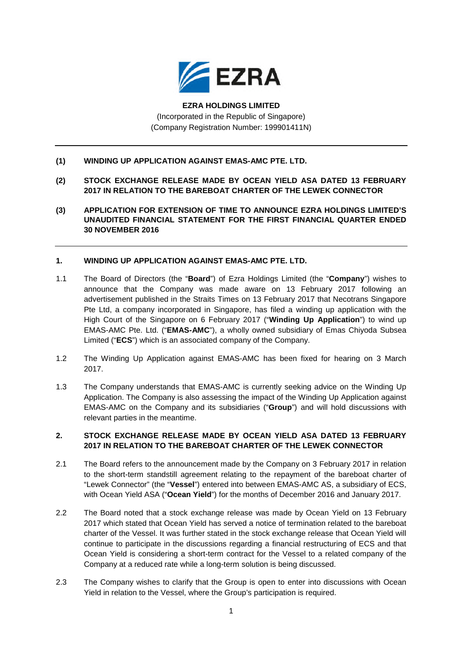

# **EZRA HOLDINGS LIMITED** (Incorporated in the Republic of Singapore) (Company Registration Number: 199901411N)

## **(1) WINDING UP APPLICATION AGAINST EMAS-AMC PTE. LTD.**

- **(2) STOCK EXCHANGE RELEASE MADE BY OCEAN YIELD ASA DATED 13 FEBRUARY 2017 IN RELATION TO THE BAREBOAT CHARTER OF THE LEWEK CONNECTOR**
- **(3) APPLICATION FOR EXTENSION OF TIME TO ANNOUNCE EZRA HOLDINGS LIMITED'S UNAUDITED FINANCIAL STATEMENT FOR THE FIRST FINANCIAL QUARTER ENDED 30 NOVEMBER 2016**

#### **1. WINDING UP APPLICATION AGAINST EMAS-AMC PTE. LTD.**

- 1.1 The Board of Directors (the "**Board**") of Ezra Holdings Limited (the "**Company**") wishes to announce that the Company was made aware on 13 February 2017 following an advertisement published in the Straits Times on 13 February 2017 that Necotrans Singapore Pte Ltd, a company incorporated in Singapore, has filed a winding up application with the High Court of the Singapore on 6 February 2017 ("**Winding Up Application**") to wind up EMAS-AMC Pte. Ltd. ("**EMAS-AMC**"), a wholly owned subsidiary of Emas Chiyoda Subsea Limited ("**ECS**") which is an associated company of the Company.
- 1.2 The Winding Up Application against EMAS-AMC has been fixed for hearing on 3 March 2017.
- 1.3 The Company understands that EMAS-AMC is currently seeking advice on the Winding Up Application. The Company is also assessing the impact of the Winding Up Application against EMAS-AMC on the Company and its subsidiaries ("**Group**") and will hold discussions with relevant parties in the meantime.

#### **2. STOCK EXCHANGE RELEASE MADE BY OCEAN YIELD ASA DATED 13 FEBRUARY 2017 IN RELATION TO THE BAREBOAT CHARTER OF THE LEWEK CONNECTOR**

- 2.1 The Board refers to the announcement made by the Company on 3 February 2017 in relation to the short-term standstill agreement relating to the repayment of the bareboat charter of "Lewek Connector" (the "**Vessel**") entered into between EMAS-AMC AS, a subsidiary of ECS, with Ocean Yield ASA ("**Ocean Yield**") for the months of December 2016 and January 2017.
- 2.2 The Board noted that a stock exchange release was made by Ocean Yield on 13 February 2017 which stated that Ocean Yield has served a notice of termination related to the bareboat charter of the Vessel. It was further stated in the stock exchange release that Ocean Yield will continue to participate in the discussions regarding a financial restructuring of ECS and that Ocean Yield is considering a short-term contract for the Vessel to a related company of the Company at a reduced rate while a long-term solution is being discussed.
- 2.3 The Company wishes to clarify that the Group is open to enter into discussions with Ocean Yield in relation to the Vessel, where the Group's participation is required.